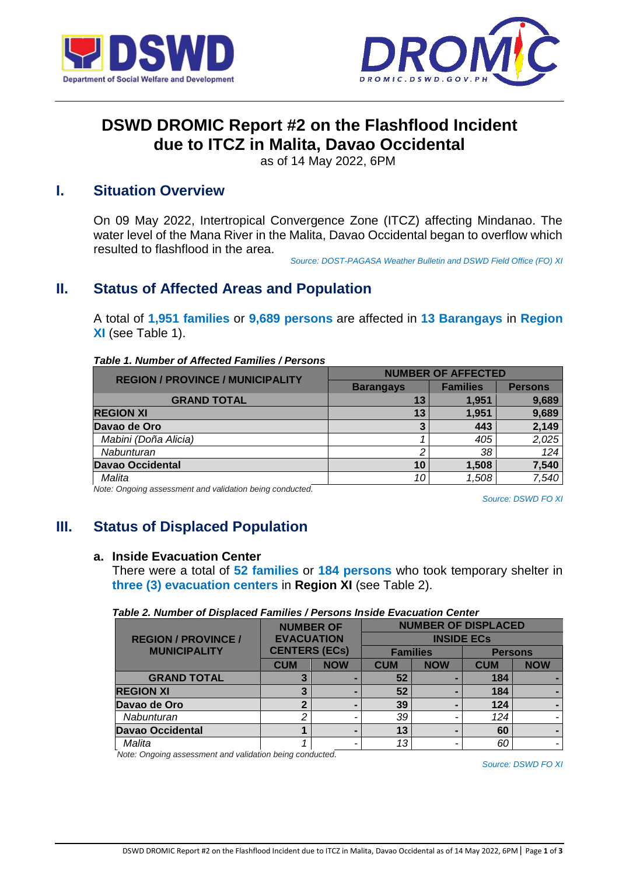



# **DSWD DROMIC Report #2 on the Flashflood Incident due to ITCZ in Malita, Davao Occidental**

as of 14 May 2022, 6PM

## **I. Situation Overview**

On 09 May 2022, Intertropical Convergence Zone (ITCZ) affecting Mindanao. The water level of the Mana River in the Malita, Davao Occidental began to overflow which resulted to flashflood in the area.

*Source: DOST-PAGASA Weather Bulletin and DSWD Field Office (FO) XI*

## **II. Status of Affected Areas and Population**

A total of **1,951 families** or **9,689 persons** are affected in **13 Barangays** in **Region XI** (see Table 1).

|  | Table 1. Number of Affected Families / Persons |  |
|--|------------------------------------------------|--|
|  |                                                |  |

| <b>REGION / PROVINCE / MUNICIPALITY</b> | <b>NUMBER OF AFFECTED</b> |                 |                |  |
|-----------------------------------------|---------------------------|-----------------|----------------|--|
|                                         | <b>Barangays</b>          | <b>Families</b> | <b>Persons</b> |  |
| <b>GRAND TOTAL</b>                      | 13                        | 1.951           | 9,689          |  |
| <b>REGION XI</b>                        | 13                        | 1.951           | 9,689          |  |
| Davao de Oro                            | 3                         | 443             | 2,149          |  |
| Mabini (Doña Alicia)                    |                           | 405             | 2,025          |  |
| Nabunturan                              | ◠                         | 38              | 124            |  |
| <b>Davao Occidental</b>                 | 10                        | 1,508           | 7,540          |  |
| Malita                                  | 10                        | 1.508           | 7,540          |  |

*Note: Ongoing assessment and validation being conducted.* 

*Source: DSWD FO XI*

## **III. Status of Displaced Population**

### **a. Inside Evacuation Center**

There were a total of **52 families** or **184 persons** who took temporary shelter in **three (3) evacuation centers** in **Region XI** (see Table 2).

#### *Table 2. Number of Displaced Families / Persons Inside Evacuation Center*

|                            |                      | <b>NUMBER OF</b> |                   | <b>NUMBER OF DISPLACED</b> |                |            |  |
|----------------------------|----------------------|------------------|-------------------|----------------------------|----------------|------------|--|
| <b>REGION / PROVINCE /</b> | <b>EVACUATION</b>    |                  | <b>INSIDE ECs</b> |                            |                |            |  |
| <b>MUNICIPALITY</b>        | <b>CENTERS (ECs)</b> |                  | <b>Families</b>   |                            | <b>Persons</b> |            |  |
|                            | <b>CUM</b>           | <b>NOW</b>       | <b>CUM</b>        | <b>NOW</b>                 | <b>CUM</b>     | <b>NOW</b> |  |
| <b>GRAND TOTAL</b>         |                      |                  | 52                |                            | 184            |            |  |
| <b>REGION XI</b>           |                      | -                | 52                |                            | 184            |            |  |
| Davao de Oro               |                      |                  | 39                |                            | 124            |            |  |
| <b>Nabunturan</b>          | ◠                    | -                | 39                |                            | 124            |            |  |
| <b>Davao Occidental</b>    |                      |                  | 13                |                            | 60             |            |  |
| Malita                     |                      | -                | 13                |                            | 60             |            |  |

*Note: Ongoing assessment and validation being conducted.*

*Source: DSWD FO XI*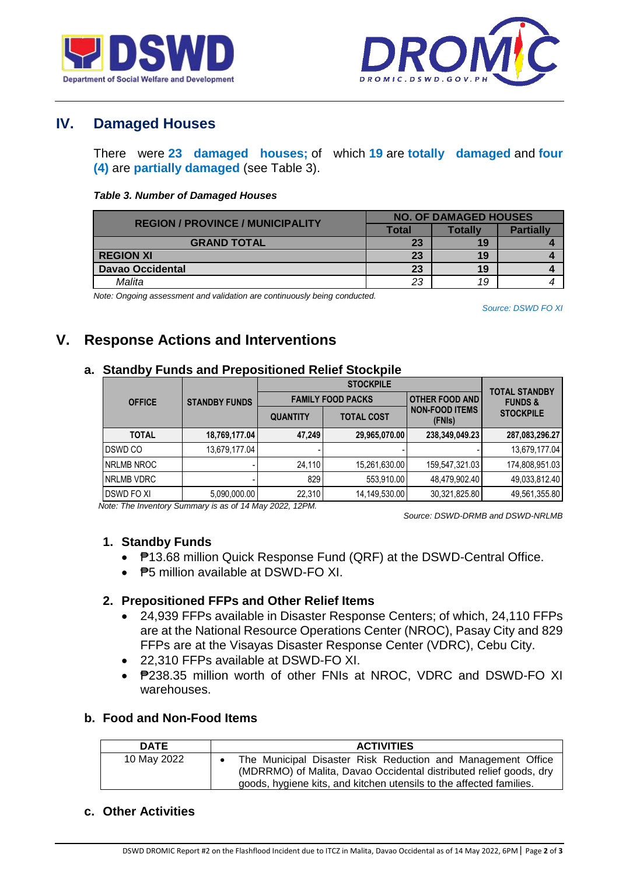



## **IV. Damaged Houses**

There were **23 damaged houses;** of which **19** are **totally damaged** and **four (4)** are **partially damaged** (see Table 3).

#### *Table 3. Number of Damaged Houses*

| <b>REGION / PROVINCE / MUNICIPALITY</b> | <b>NO. OF DAMAGED HOUSES</b> |                |                  |  |
|-----------------------------------------|------------------------------|----------------|------------------|--|
|                                         | <b>Total</b>                 | <b>Totally</b> | <b>Partially</b> |  |
| <b>GRAND TOTAL</b>                      | 23                           | 19             |                  |  |
| <b>REGION XI</b>                        | 23                           | 19             |                  |  |
| <b>Davao Occidental</b>                 | 23                           | 19             |                  |  |
| Malita                                  | 23                           | 19             |                  |  |

*Note: Ongoing assessment and validation are continuously being conducted.*

*Source: DSWD FO XI*

## **V. Response Actions and Interventions**

### **a. Standby Funds and Prepositioned Relief Stockpile**

|                   |                      |                 | <b>TOTAL STANDBY</b>     |                                 |                    |
|-------------------|----------------------|-----------------|--------------------------|---------------------------------|--------------------|
| <b>OFFICE</b>     | <b>STANDBY FUNDS</b> |                 | <b>FAMILY FOOD PACKS</b> | <b>OTHER FOOD AND</b>           | <b>FUNDS &amp;</b> |
|                   |                      | <b>QUANTITY</b> | <b>TOTAL COST</b>        | <b>NON-FOOD ITEMS</b><br>(FNIs) | <b>STOCKPILE</b>   |
| <b>TOTAL</b>      | 18,769,177.04        | 47,249          | 29,965,070.00            | 238,349,049.23                  | 287,083,296.27     |
| DSWD CO           | 13,679,177.04        |                 |                          |                                 | 13,679,177.04      |
| NRLMB NROC        |                      | 24,110          | 15,261,630.00            | 159,547,321.03                  | 174,808,951.03     |
| NRLMB VDRC        |                      | 829             | 553,910.00               | 48,479,902.40                   | 49,033,812.40      |
| <b>DSWD FO XI</b> | 5,090,000.00         | 22,310          | 14,149,530.00            | 30,321,825.80                   | 49,561,355.80      |

*Note: The Inventory Summary is as of 14 May 2022, 12PM.*

 *Source: DSWD-DRMB and DSWD-NRLMB*

## **1. Standby Funds**

- ₱13.68 million Quick Response Fund (QRF) at the DSWD-Central Office.
- $\bullet$   $\overline{P5}$  million available at DSWD-FO XI.

## **2. Prepositioned FFPs and Other Relief Items**

- 24,939 FFPs available in Disaster Response Centers; of which, 24,110 FFPs are at the National Resource Operations Center (NROC), Pasay City and 829 FFPs are at the Visayas Disaster Response Center (VDRC), Cebu City.
- 22,310 FFPs available at DSWD-FO XI.
- P238.35 million worth of other FNIs at NROC, VDRC and DSWD-FO XI warehouses.

## **b. Food and Non-Food Items**

| <b>DATE</b> | <b>ACTIVITIES</b>                                                                                                                                                                                        |
|-------------|----------------------------------------------------------------------------------------------------------------------------------------------------------------------------------------------------------|
| 10 May 2022 | The Municipal Disaster Risk Reduction and Management Office<br>(MDRRMO) of Malita, Davao Occidental distributed relief goods, dry<br>goods, hygiene kits, and kitchen utensils to the affected families. |

### **c. Other Activities**